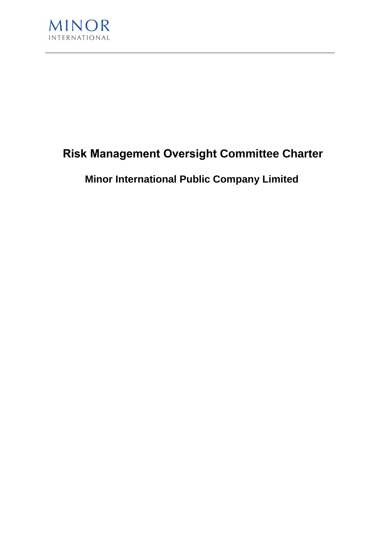

## **Risk Management Oversight Committee Charter**

# **Minor International Public Company Limited**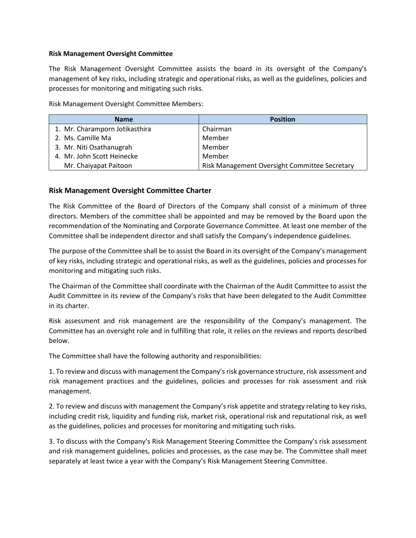#### **Risk Management Oversight Committee**

The Risk Management Oversight Committee assists the board in its oversight of the Company's management of key risks, including strategic and operational risks, as well as the guidelines, policies and processes for monitoring and mitigating such risks.

Risk Management Oversight Committee Members:

| <b>Name</b>                    | <b>Position</b>                               |
|--------------------------------|-----------------------------------------------|
| 1. Mr. Charamporn Jotikasthira | Chairman                                      |
| 2. Ms. Camille Ma              | Member                                        |
| 3. Mr. Niti Osathanugrah       | Member                                        |
| 4. Mr. John Scott Heinecke     | Member                                        |
| Mr. Chaiyapat Paitoon          | Risk Management Oversight Committee Secretary |

## **Risk Management Oversight Committee Charter**

The Risk Committee of the Board of Directors of the Company shall consist of a minimum of three directors. Members of the committee shall be appointed and may be removed by the Board upon the recommendation of the Nominating and Corporate Governance Committee. At least one member of the Committee shall be independent director and shall satisfy the Company's independence guidelines.

The purpose of the Committee shall be to assist the Board in its oversight of the Company's management of key risks, including strategic and operational risks, as well as the guidelines, policies and processes for monitoring and mitigating such risks.

The Chairman of the Committee shall coordinate with the Chairman of the Audit Committee to assist the Audit Committee in its review of the Company's risks that have been delegated to the Audit Committee in its charter.

Risk assessment and risk management are the responsibility of the Company's management. The Committee has an oversight role and in fulfilling that role, it relies on the reviews and reports described below.

The Committee shall have the following authority and responsibilities:

1. To review and discuss with management the Company's risk governance structure, risk assessment and risk management practices and the guidelines, policies and processes for risk assessment and risk management.

2. To review and discuss with management the Company's risk appetite and strategy relating to key risks, including credit risk, liquidity and funding risk, market risk, operational risk and reputational risk, as well as the guidelines, policies and processes for monitoring and mitigating such risks.

3. To discuss with the Company's Risk Management Steering Committee the Company's risk assessment and risk management guidelines, policies and processes, as the case may be. The Committee shall meet separately at least twice a year with the Company's Risk Management Steering Committee.